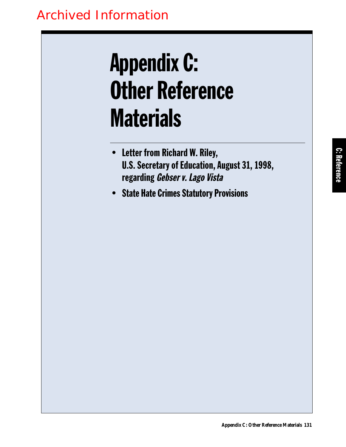### Appendix C: Other Reference **Materials**

- Letter from Richard W. Riley, U.S. Secretary of Education, August 31, 1998, regarding Gebser v. Lago Vista
- State Hate Crimes Statutory Provisions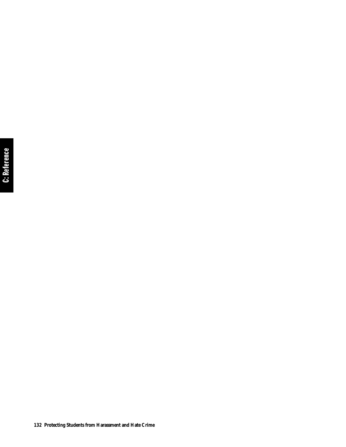C: Reference C: Reference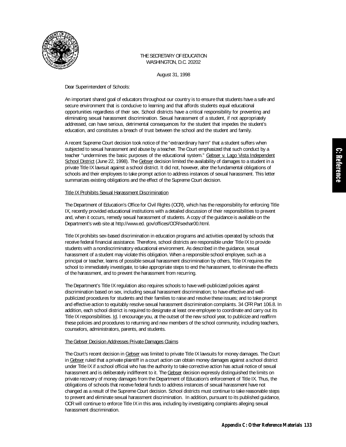

### THE SECRETARY OF EDUCATION WASHINGTON, D.C. 20202

August 31, 1998

Dear Superintendent of Schools:

An important shared goal of educators throughout our country is to ensure that students have a safe and secure environment that is conducive to learning and that affords students equal educational opportunities regardless of their sex. School districts have a critical responsibility for preventing and eliminating sexual harassment discrimination. Sexual harassment of a student, if not appropriately addressed, can have serious, detrimental consequences for the student that impedes the student's education, and constitutes a breach of trust between the school and the student and family.

A recent Supreme Court decision took notice of the "extraordinary harm" that a student suffers when subjected to sexual harassment and abuse by a teacher. The Court emphasized that such conduct by a teacher "undermines the basic purposes of the educational system." Gebser v. Lago Vista Independent School District (June 22, 1998). The Gebser decision limited the availability of damages to a student in a private Title IX lawsuit against a school district. It did not, however, alter the fundamental obligations of schools and their employees to take prompt action to address instances of sexual harassment. This letter summarizes existing obligations and the effect of the Supreme Court decision.

### Title IX Prohibits Sexual Harassment Discrimination

The Department of Education's Office for Civil Rights (OCR), which has the responsibility for enforcing Title IX, recently provided educational institutions with a detailed discussion of their responsibilities to prevent and, when it occurs, remedy sexual harassment of students. A copy of the guidance is available on the Department's web site at http://www.ed. gov/offices/OCR/sexhar00.html.

Title IX prohibits sex-based discrimination in education programs and activities operated by schools that receive federal financial assistance. Therefore, school districts are responsible under Title IX to provide students with a nondiscriminatory educational environment. As described in the guidance, sexual harassment of a student may violate this obligation. When a responsible school employee, such as a principal or teacher, learns of possible sexual harassment discrimination by others, Title IX requires the school to immediately investigate, to take appropriate steps to end the harassment, to eliminate the effects of the harassment, and to prevent the harassment from recurring.

The Department's Title IX regulation also requires schools to have well-publicized policies against discrimination based on sex, including sexual harassment discrimination; to have effective and wellpublicized procedures for students and their families to raise and resolve these issues; and to take prompt and effective action to equitably resolve sexual harassment discrimination complaints. 34 CFR Part 106.8. In addition, each school district is required to designate at least one employee to coordinate and carry out its Title IX responsibilities. Id. I encourage you, at the outset of the new school year, to publicize and reaffirm these policies and procedures to returning and new members of the school community, including teachers, counselors, administrators, parents, and students.

### The Gebser Decision Addresses Private Damages Claims

The Court's recent decision in Gebser was limited to private Title IX lawsuits for money damages. The Court in Gebser ruled that a private plaintiff in a court action can obtain money damages against a school district under Title IX if a school official who has the authority to take corrective action has actual notice of sexual harassment and is deliberately indifferent to it. The Gebser decision expressly distinguished the limits on private recovery of money damages from the Department of Education's enforcement of Title IX. Thus, the obligations of schools that receive federal funds to address instances of sexual harassment have not changed as a result of the Supreme Court decision. School districts must continue to take reasonable steps to prevent and eliminate sexual harassment discrimination. In addition, pursuant to its published guidance, OCR will continue to enforce Title IX in this area, including by investigating complaints alleging sexual harassment discrimination.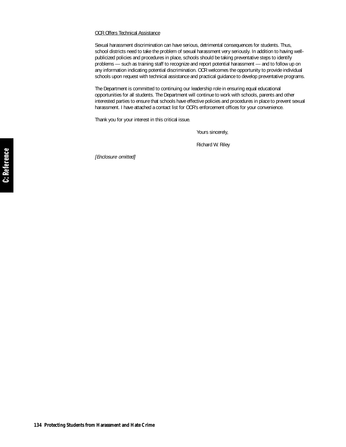### **OCR Offers Technical Assistance**

Sexual harassment discrimination can have serious, detrimental consequences for students. Thus, school districts need to take the problem of sexual harassment very seriously. In addition to having wellpublicized policies and procedures in place, schools should be taking preventative steps to identify problems — such as training staff to recognize and report potential harassment — and to follow up on any information indicating potential discrimination. OCR welcomes the opportunity to provide individual schools upon request with technical assistance and practical guidance to develop preventative programs.

The Department is committed to continuing our leadership role in ensuring equal educational opportunities for all students. The Department will continue to work with schools, parents and other interested parties to ensure that schools have effective policies and procedures in place to prevent sexual harassment. I have attached a contact list for OCR's enforcement offices for your convenience.

Thank you for your interest in this critical issue.

Yours sincerely,

Richard W. Riley

[Enclosure omitted]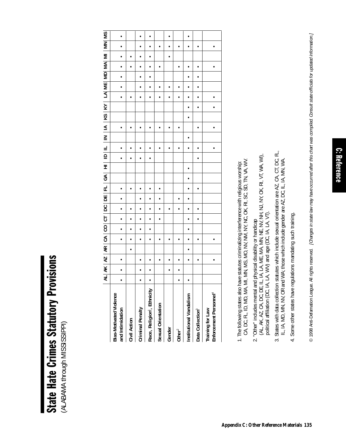## **State Hate Crimes Statutory Provisions** State Hate Crimes Statutory Provisions

(ALABAMA through MISSISSIPPI) (ALABAMA through MISSISSIPPI)

|                                                        |  |  | AL   AK   AZ   AR   CA   CO   CT   DC   DE |  | <b>FLIGA</b> | $\equiv$ | $\frac{1}{10}$ | $\leq$<br>$\equiv$ | KS   KY | LA   ME   MD   MA   MI |  | $ $ MN $ $ | I MS      |
|--------------------------------------------------------|--|--|--------------------------------------------|--|--------------|----------|----------------|--------------------|---------|------------------------|--|------------|-----------|
| <b>Bias-Motivated Violence</b><br>and Intimidation     |  |  |                                            |  |              |          |                |                    |         |                        |  |            | ۰         |
| <b>Civil Action</b>                                    |  |  |                                            |  |              |          |                |                    |         |                        |  |            |           |
| Criminal Penalty                                       |  |  |                                            |  |              |          |                |                    |         |                        |  |            | ٠         |
| Race, Religion', Ethnicity                             |  |  |                                            |  |              |          |                |                    |         |                        |  |            |           |
| Sexual Orientation                                     |  |  |                                            |  |              |          |                |                    |         |                        |  |            |           |
| Gender                                                 |  |  |                                            |  |              |          |                |                    |         |                        |  |            | ٠         |
| Other $2$                                              |  |  |                                            |  |              |          |                |                    |         |                        |  |            |           |
| Institutional Vandalism                                |  |  |                                            |  |              |          |                |                    |         |                        |  |            | $\bullet$ |
| Data Collection <sup>3</sup>                           |  |  |                                            |  |              |          |                |                    |         |                        |  |            |           |
| Enforcement Personnel <sup>4</sup><br>Training for Law |  |  |                                            |  |              |          |                |                    |         |                        |  |            |           |
|                                                        |  |  |                                            |  |              |          |                |                    |         |                        |  |            |           |

- CA, DC, FL, ID, MD, MA, MI, MN, MS, MO, NV, NM, NY, NC, OK, RI, SC, SD, TN, VA, WY. CA, DC, FL, ID, MD, MA, MI, MN, MS, MO, NV, NM, NY, NC, OK, RI, SC, SD, TN, VA, WV. 1. The following states also have statutes criminalizing interference with religious worship: 1. The following states also have statutes criminalizing interference with religious worship:
- 2. "Other" includes mental and physical disability or handicap<br>(AL, AK, AZ, CA, DC, DE, IL, IA, LA, ME, MA, MN, NE, NV, NH, NJ, NY, OK, RI, VT, WA, WI), (AL, AK, AZ, CA, DC, DE, IL, IA, LA, ME, MA, MN, NE, NV, NH, NJ, NY, OK, RI, VT, WA, WI), political affiliation (DC, IA, LA, WV) and age (DC, IA, LA, VT). political affiliation (DC, IA, LA, WV) and age (DC, IA, LA, VT). 2. "Other" includes mental and physical disability or handicap
- 3. States with data collection statutes which include sexual orientation are AZ, CA, CT, DC, FL, 3. States with data collection statutes which include sexual orientation are AZ, CA, CT, DC, FL, IL, IA, MD, MN, NV, OR and WA; those which include gender are AZ, DC, IL, IA, MN, WA. IL, IA, MD, MN, NV, OR and WA; those which include gender are AZ, DC, IL, IA, MN, WA.
- Some other states have regulations mandating such training. 4. Some other states have regulations mandating such training.  $\overline{4}$

© 1998 Anti-Defamation League. All rights reserved. [Changes in state law may have occurred after this chart was compiled. Consult state officials for updated information.] © 1998 Anti-Defamation League. All rights reserved. [Changes in state law may have occurred after this chart was compiled. Consult state officials for updated information.]

C: Reference

**C: Reference**